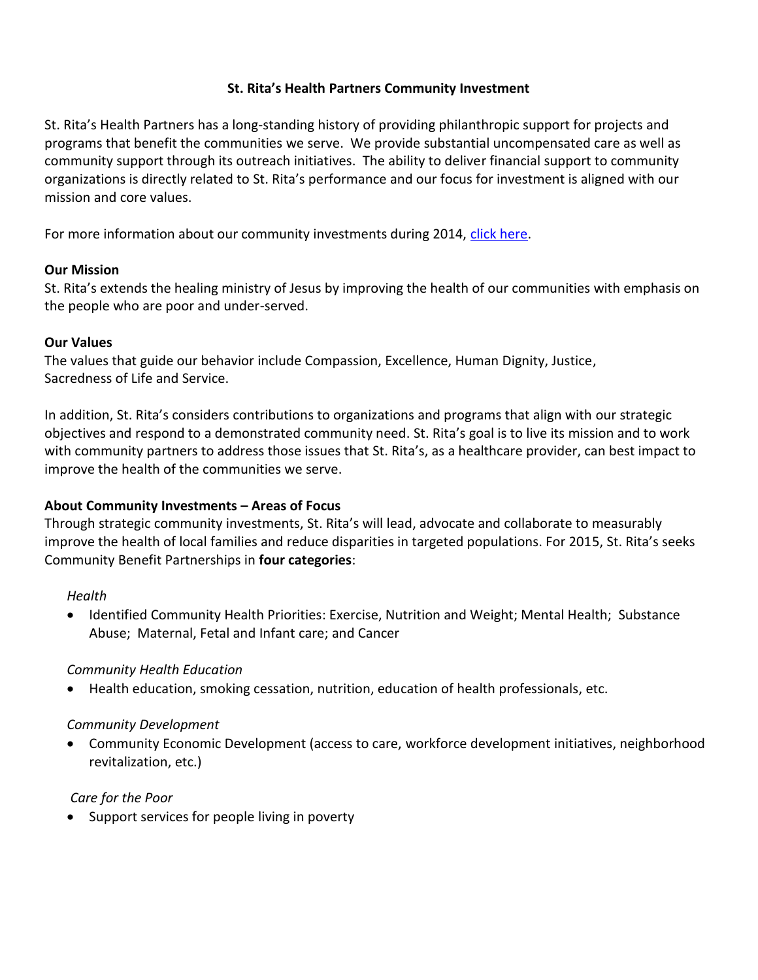#### **St. Rita's Health Partners Community Investment**

St. Rita's Health Partners has a long-standing history of providing philanthropic support for projects and programs that benefit the communities we serve. We provide substantial uncompensated care as well as community support through its outreach initiatives. The ability to deliver financial support to community organizations is directly related to St. Rita's performance and our focus for investment is aligned with our mission and core values.

For more information about our community investments during 2014, [click here.](http://www.ehealthconnection.com/regions/mercy_st_ritas/pdfs/Community-Investment-2014-Benefit-Report.pdf)

#### **Our Mission**

St. Rita's extends the healing ministry of Jesus by improving the health of our communities with emphasis on the people who are poor and under-served.

#### **Our Values**

The values that guide our behavior include Compassion, Excellence, Human Dignity, Justice, Sacredness of Life and Service.

In addition, St. Rita's considers contributions to organizations and programs that align with our strategic objectives and respond to a demonstrated community need. St. Rita's goal is to live its mission and to work with community partners to address those issues that St. Rita's, as a healthcare provider, can best impact to improve the health of the communities we serve.

## **About Community Investments – Areas of Focus**

Through strategic community investments, St. Rita's will lead, advocate and collaborate to measurably improve the health of local families and reduce disparities in targeted populations. For 2015, St. Rita's seeks Community Benefit Partnerships in **four categories**:

#### *Health*

 Identified Community Health Priorities: Exercise, Nutrition and Weight; Mental Health; Substance Abuse; Maternal, Fetal and Infant care; and Cancer

## *Community Health Education*

Health education, smoking cessation, nutrition, education of health professionals, etc.

#### *Community Development*

 Community Economic Development (access to care, workforce development initiatives, neighborhood revitalization, etc.)

## *Care for the Poor*

• Support services for people living in poverty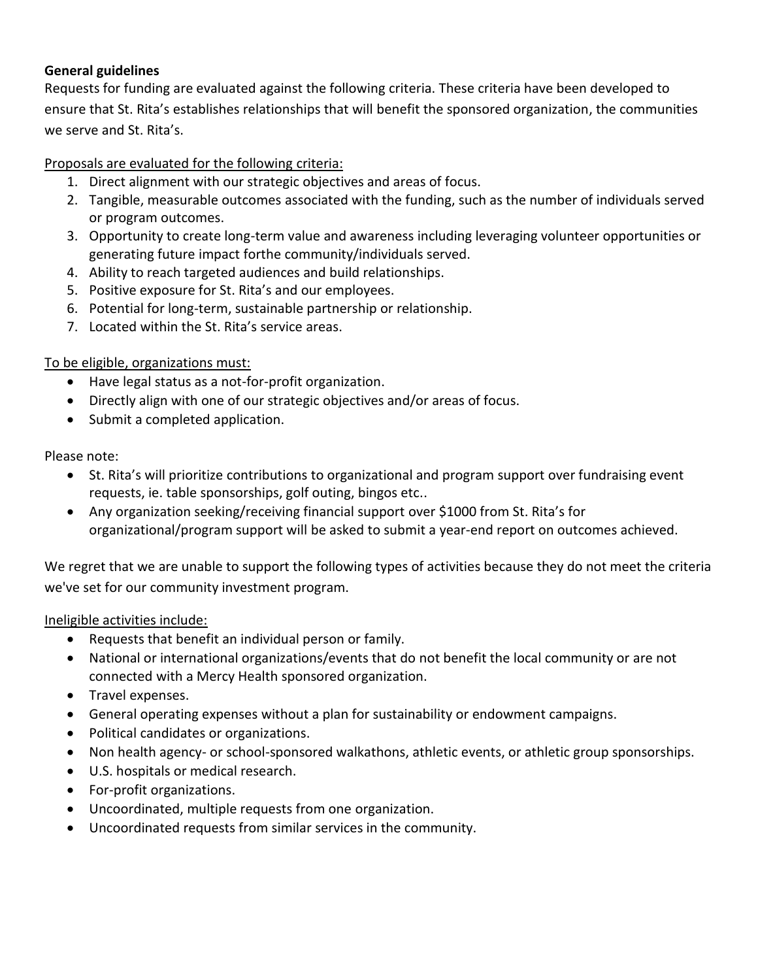# **General guidelines**

Requests for funding are evaluated against the following criteria. These criteria have been developed to ensure that St. Rita's establishes relationships that will benefit the sponsored organization, the communities we serve and St. Rita's.

# Proposals are evaluated for the following criteria:

- 1. Direct alignment with our strategic objectives and areas of focus.
- 2. Tangible, measurable outcomes associated with the funding, such as the number of individuals served or program outcomes.
- 3. Opportunity to create long-term value and awareness including leveraging volunteer opportunities or generating future impact forthe community/individuals served.
- 4. Ability to reach targeted audiences and build relationships.
- 5. Positive exposure for St. Rita's and our employees.
- 6. Potential for long-term, sustainable partnership or relationship.
- 7. Located within the St. Rita's service areas.

# To be eligible, organizations must:

- Have legal status as a not-for-profit organization.
- Directly align with one of our strategic objectives and/or areas of focus.
- Submit a completed application.

Please note:

- St. Rita's will prioritize contributions to organizational and program support over fundraising event requests, ie. table sponsorships, golf outing, bingos etc..
- Any organization seeking/receiving financial support over \$1000 from St. Rita's for organizational/program support will be asked to submit a year-end report on outcomes achieved.

We regret that we are unable to support the following types of activities because they do not meet the criteria we've set for our community investment program.

## Ineligible activities include:

- Requests that benefit an individual person or family.
- National or international organizations/events that do not benefit the local community or are not connected with a Mercy Health sponsored organization.
- Travel expenses.
- General operating expenses without a plan for sustainability or endowment campaigns.
- Political candidates or organizations.
- Non health agency- or school-sponsored walkathons, athletic events, or athletic group sponsorships.
- U.S. hospitals or medical research.
- For-profit organizations.
- Uncoordinated, multiple requests from one organization.
- Uncoordinated requests from similar services in the community.